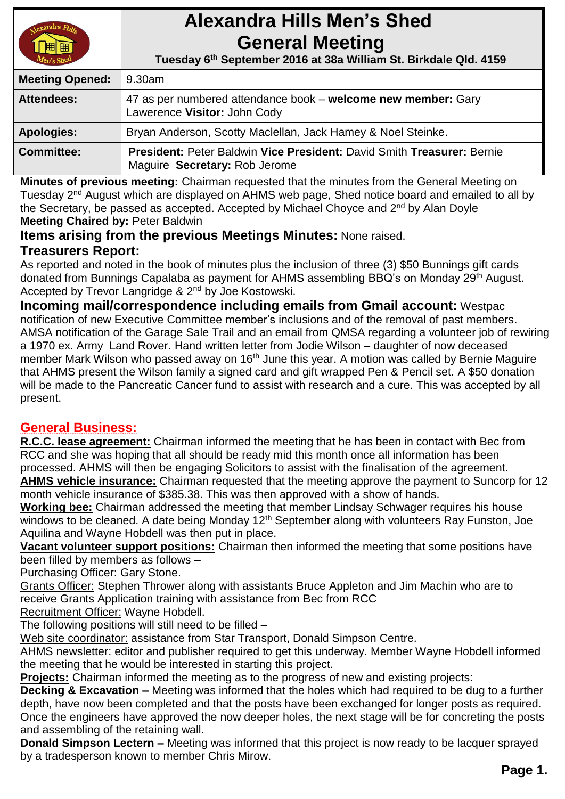

# **Alexandra Hills Men's Shed General Meeting**

 **Tuesday 6 th September 2016 at 38a William St. Birkdale Qld. 4159** 

| <b>Meeting Opened:</b> | l 9.30am                                                                                                |  |
|------------------------|---------------------------------------------------------------------------------------------------------|--|
| <b>Attendees:</b>      | 47 as per numbered attendance book – welcome new member: Gary<br>Lawerence Visitor: John Cody           |  |
| <b>Apologies:</b>      | Bryan Anderson, Scotty Maclellan, Jack Hamey & Noel Steinke.                                            |  |
| <b>Committee:</b>      | President: Peter Baldwin Vice President: David Smith Treasurer: Bernie<br>Maguire Secretary: Rob Jerome |  |

**Minutes of previous meeting:** Chairman requested that the minutes from the General Meeting on Tuesday 2<sup>nd</sup> August which are displayed on AHMS web page, Shed notice board and emailed to all by the Secretary, be passed as accepted. Accepted by Michael Choyce and 2<sup>nd</sup> by Alan Doyle **Meeting Chaired by:** Peter Baldwin

**Items arising from the previous Meetings Minutes:** None raised.

### **Treasurers Report:**

As reported and noted in the book of minutes plus the inclusion of three (3) \$50 Bunnings gift cards donated from Bunnings Capalaba as payment for AHMS assembling BBQ's on Monday 29<sup>th</sup> August. Accepted by Trevor Langridge & 2<sup>nd</sup> by Joe Kostowski.

**Incoming mail/correspondence including emails from Gmail account:** Westpac notification of new Executive Committee member's inclusions and of the removal of past members. AMSA notification of the Garage Sale Trail and an email from QMSA regarding a volunteer job of rewiring a 1970 ex. Army Land Rover. Hand written letter from Jodie Wilson – daughter of now deceased member Mark Wilson who passed away on 16<sup>th</sup> June this year. A motion was called by Bernie Maguire that AHMS present the Wilson family a signed card and gift wrapped Pen & Pencil set. A \$50 donation will be made to the Pancreatic Cancer fund to assist with research and a cure. This was accepted by all present.

### **General Business:**

**R.C.C. lease agreement:** Chairman informed the meeting that he has been in contact with Bec from RCC and she was hoping that all should be ready mid this month once all information has been processed. AHMS will then be engaging Solicitors to assist with the finalisation of the agreement.

**AHMS vehicle insurance:** Chairman requested that the meeting approve the payment to Suncorp for 12 month vehicle insurance of \$385.38. This was then approved with a show of hands.

**Working bee:** Chairman addressed the meeting that member Lindsay Schwager requires his house windows to be cleaned. A date being Monday  $12<sup>th</sup>$  September along with volunteers Ray Funston, Joe Aquilina and Wayne Hobdell was then put in place.

**Vacant volunteer support positions:** Chairman then informed the meeting that some positions have been filled by members as follows –

Purchasing Officer: Gary Stone.

Grants Officer: Stephen Thrower along with assistants Bruce Appleton and Jim Machin who are to receive Grants Application training with assistance from Bec from RCC

Recruitment Officer: Wayne Hobdell.

The following positions will still need to be filled –

Web site coordinator: assistance from Star Transport, Donald Simpson Centre.

AHMS newsletter: editor and publisher required to get this underway. Member Wayne Hobdell informed the meeting that he would be interested in starting this project.

**Projects:** Chairman informed the meeting as to the progress of new and existing projects:

**Decking & Excavation –** Meeting was informed that the holes which had required to be dug to a further depth, have now been completed and that the posts have been exchanged for longer posts as required. Once the engineers have approved the now deeper holes, the next stage will be for concreting the posts and assembling of the retaining wall.

**Donald Simpson Lectern –** Meeting was informed that this project is now ready to be lacquer sprayed by a tradesperson known to member Chris Mirow.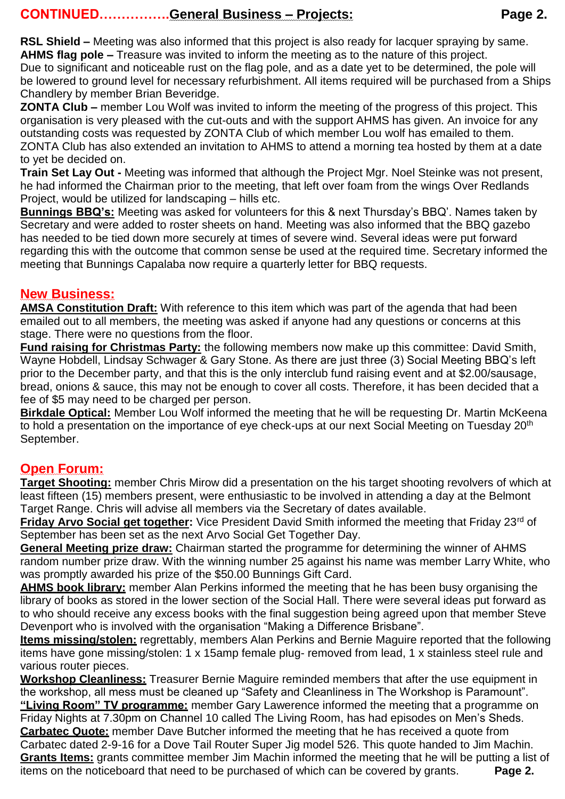**RSL Shield –** Meeting was also informed that this project is also ready for lacquer spraying by same. **AHMS flag pole –** Treasure was invited to inform the meeting as to the nature of this project.

Due to significant and noticeable rust on the flag pole, and as a date yet to be determined, the pole will be lowered to ground level for necessary refurbishment. All items required will be purchased from a Ships Chandlery by member Brian Beveridge.

**ZONTA Club –** member Lou Wolf was invited to inform the meeting of the progress of this project. This organisation is very pleased with the cut-outs and with the support AHMS has given. An invoice for any outstanding costs was requested by ZONTA Club of which member Lou wolf has emailed to them. ZONTA Club has also extended an invitation to AHMS to attend a morning tea hosted by them at a date to yet be decided on.

**Train Set Lay Out -** Meeting was informed that although the Project Mgr. Noel Steinke was not present, he had informed the Chairman prior to the meeting, that left over foam from the wings Over Redlands Project, would be utilized for landscaping – hills etc.

**Bunnings BBQ's:** Meeting was asked for volunteers for this & next Thursday's BBQ'. Names taken by Secretary and were added to roster sheets on hand. Meeting was also informed that the BBQ gazebo has needed to be tied down more securely at times of severe wind. Several ideas were put forward regarding this with the outcome that common sense be used at the required time. Secretary informed the meeting that Bunnings Capalaba now require a quarterly letter for BBQ requests.

## **New Business:**

**AMSA Constitution Draft:** With reference to this item which was part of the agenda that had been emailed out to all members, the meeting was asked if anyone had any questions or concerns at this stage. There were no questions from the floor.

**Fund raising for Christmas Party:** the following members now make up this committee: David Smith, Wayne Hobdell, Lindsay Schwager & Gary Stone. As there are just three (3) Social Meeting BBQ's left prior to the December party, and that this is the only interclub fund raising event and at \$2.00/sausage, bread, onions & sauce, this may not be enough to cover all costs. Therefore, it has been decided that a fee of \$5 may need to be charged per person.

**Birkdale Optical:** Member Lou Wolf informed the meeting that he will be requesting Dr. Martin McKeena to hold a presentation on the importance of eye check-ups at our next Social Meeting on Tuesday 20<sup>th</sup> September.

# **Open Forum:**

**Target Shooting:** member Chris Mirow did a presentation on the his target shooting revolvers of which at least fifteen (15) members present, were enthusiastic to be involved in attending a day at the Belmont Target Range. Chris will advise all members via the Secretary of dates available.

**Friday Arvo Social get together:** Vice President David Smith informed the meeting that Friday 23<sup>rd</sup> of September has been set as the next Arvo Social Get Together Day.

**General Meeting prize draw:** Chairman started the programme for determining the winner of AHMS random number prize draw. With the winning number 25 against his name was member Larry White, who was promptly awarded his prize of the \$50.00 Bunnings Gift Card.

**AHMS book library:** member Alan Perkins informed the meeting that he has been busy organising the library of books as stored in the lower section of the Social Hall. There were several ideas put forward as to who should receive any excess books with the final suggestion being agreed upon that member Steve Devenport who is involved with the organisation "Making a Difference Brisbane".

**Items missing/stolen:** regrettably, members Alan Perkins and Bernie Maguire reported that the following items have gone missing/stolen: 1 x 15amp female plug- removed from lead, 1 x stainless steel rule and various router pieces.

**Workshop Cleanliness:** Treasurer Bernie Maguire reminded members that after the use equipment in the workshop, all mess must be cleaned up "Safety and Cleanliness in The Workshop is Paramount". **"Living Room" TV programme:** member Gary Lawerence informed the meeting that a programme on Friday Nights at 7.30pm on Channel 10 called The Living Room, has had episodes on Men's Sheds. **Carbatec Quote:** member Dave Butcher informed the meeting that he has received a quote from Carbatec dated 2-9-16 for a Dove Tail Router Super Jig model 526. This quote handed to Jim Machin. **Grants Items:** grants committee member Jim Machin informed the meeting that he will be putting a list of items on the noticeboard that need to be purchased of which can be covered by grants. **Page 2.**